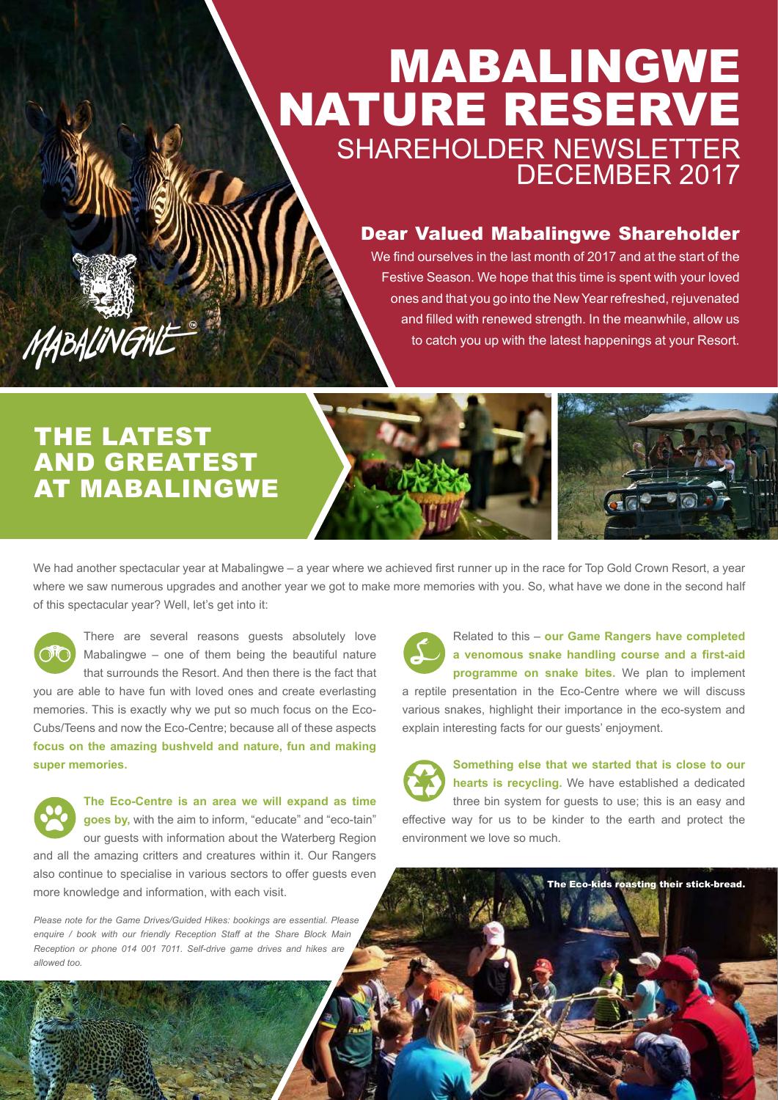## MABALINGWE NATURE RESERVE SHAREHOLDER NEWSLETTER DECEMBER 2017

### Dear Valued Mabalingwe Shareholder

We find ourselves in the last month of 2017 and at the start of the Festive Season. We hope that this time is spent with your loved ones and that you go into the New Year refreshed, rejuvenated and filled with renewed strength. In the meanwhile, allow us to catch you up with the latest happenings at your Resort.

## THE LATEST AND GREATEST AT MABALINGWE

MABALINGNE

We had another spectacular year at Mabalingwe – a year where we achieved first runner up in the race for Top Gold Crown Resort, a year where we saw numerous upgrades and another year we got to make more memories with you. So, what have we done in the second half of this spectacular year? Well, let's get into it:

There are several reasons guests absolutely love Mabalingwe – one of them being the beautiful nature that surrounds the Resort. And then there is the fact that

you are able to have fun with loved ones and create everlasting memories. This is exactly why we put so much focus on the Eco-Cubs/Teens and now the Eco-Centre; because all of these aspects **focus on the amazing bushveld and nature, fun and making super memories.**



*Please note for the Game Drives/Guided Hikes: bookings are essential. Please enquire / book with our friendly Reception Staff at the Share Block Main Reception or phone 014 001 7011. Self-drive game drives and hikes are allowed too.*

Related to this – **our Game Rangers have completed a venomous snake handling course and a first-aid programme on snake bites.** We plan to implement a reptile presentation in the Eco-Centre where we will discuss various snakes, highlight their importance in the eco-system and explain interesting facts for our guests' enjoyment.

**Something else that we started that is close to our hearts is recycling.** We have established a dedicated three bin system for guests to use; this is an easy and effective way for us to be kinder to the earth and protect the environment we love so much.

The Eco-kids roasting their stick-bread.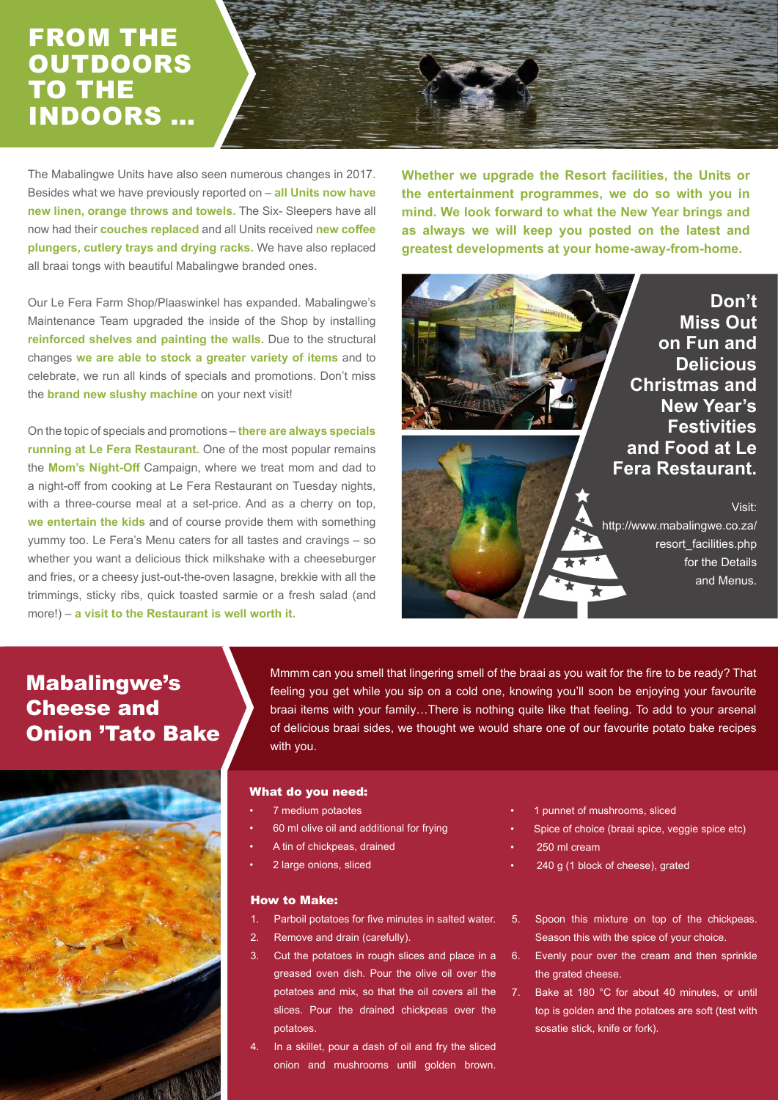## FROM THE **OUTDOORS** TO THE INDOORS …

The Mabalingwe Units have also seen numerous changes in 2017. Besides what we have previously reported on – **all Units now have new linen, orange throws and towels.** The Six- Sleepers have all now had their **couches replaced** and all Units received **new coffee plungers, cutlery trays and drying racks.** We have also replaced all braai tongs with beautiful Mabalingwe branded ones.

Our Le Fera Farm Shop/Plaaswinkel has expanded. Mabalingwe's Maintenance Team upgraded the inside of the Shop by installing **reinforced shelves and painting the walls.** Due to the structural changes **we are able to stock a greater variety of items** and to celebrate, we run all kinds of specials and promotions. Don't miss the **brand new slushy machine** on your next visit!

On the topic of specials and promotions – **there are always specials running at Le Fera Restaurant.** One of the most popular remains the **Mom's Night-Off** Campaign, where we treat mom and dad to a night-off from cooking at Le Fera Restaurant on Tuesday nights, with a three-course meal at a set-price. And as a cherry on top, **we entertain the kids** and of course provide them with something yummy too. Le Fera's Menu caters for all tastes and cravings – so whether you want a delicious thick milkshake with a cheeseburger and fries, or a cheesy just-out-the-oven lasagne, brekkie with all the trimmings, sticky ribs, quick toasted sarmie or a fresh salad (and more!) – **a visit to the Restaurant is well worth it.**

**Whether we upgrade the Resort facilities, the Units or the entertainment programmes, we do so with you in mind. We look forward to what the New Year brings and as always we will keep you posted on the latest and greatest developments at your home-away-from-home.**

### **Miss Out on Fun and Delicious Christmas and New Year's Festivities and Food at Le Fera Restaurant.**

**Don't** 

Visit: http://www.mabalingwe.co.za/ resort\_facilities.php for the Details and Menus.

## Mabalingwe's Cheese and Onion 'Tato Bake



Mmmm can you smell that lingering smell of the braai as you wait for the fire to be ready? That feeling you get while you sip on a cold one, knowing you'll soon be enjoying your favourite braai items with your family…There is nothing quite like that feeling. To add to your arsenal of delicious braai sides, we thought we would share one of our favourite potato bake recipes with you.

#### What do you need:

- 7 medium potaotes
- 60 ml olive oil and additional for frying
- A tin of chickpeas, drained
- 2 large onions, sliced

#### How to Make:

- 1. Parboil potatoes for five minutes in salted water.
- 2. Remove and drain (carefully).
- 3. Cut the potatoes in rough slices and place in a greased oven dish. Pour the olive oil over the potatoes and mix, so that the oil covers all the slices. Pour the drained chickpeas over the potatoes.
- 4. In a skillet, pour a dash of oil and fry the sliced onion and mushrooms until golden brown.
- 1 punnet of mushrooms, sliced
- Spice of choice (braai spice, veggie spice etc)
- 250 ml cream
- 240 g (1 block of cheese), grated
- 5. Spoon this mixture on top of the chickpeas. Season this with the spice of your choice.
- $\overline{6}$ . Evenly pour over the cream and then sprinkle the grated cheese.
- 7. Bake at 180 °C for about 40 minutes, or until top is golden and the potatoes are soft (test with sosatie stick, knife or fork).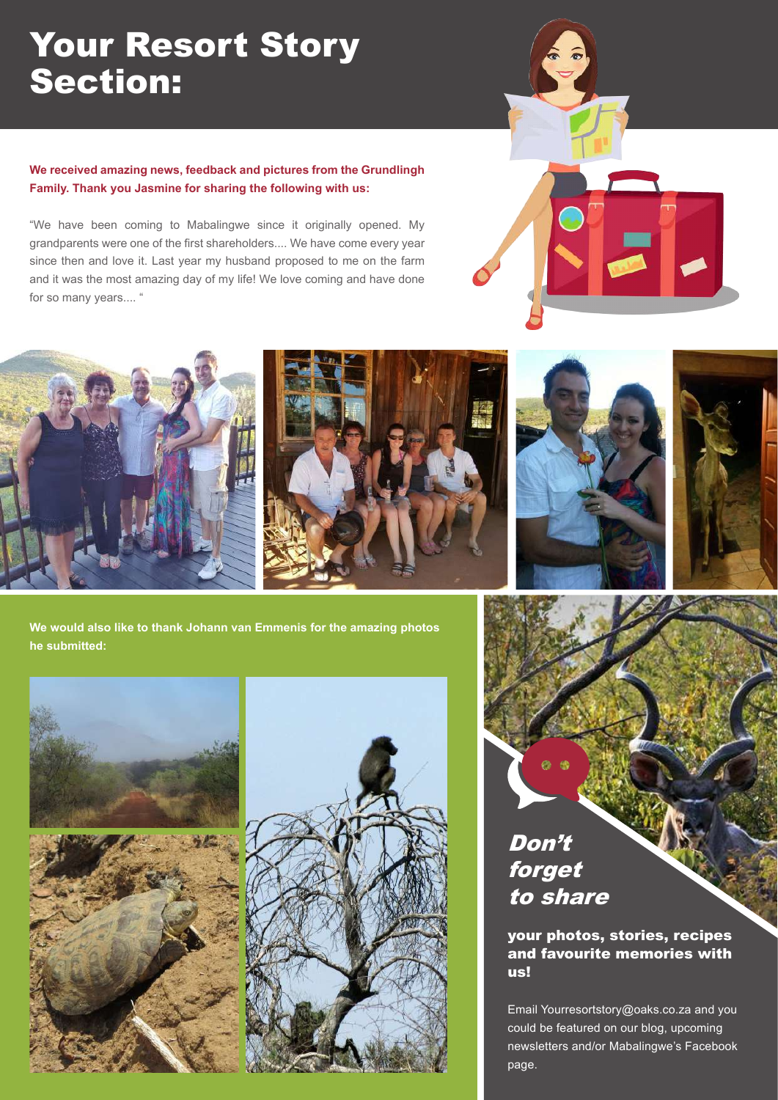## Your Resort Story Section:

### **We received amazing news, feedback and pictures from the Grundlingh Family. Thank you Jasmine for sharing the following with us:**

"We have been coming to Mabalingwe since it originally opened. My grandparents were one of the first shareholders.... We have come every year since then and love it. Last year my husband proposed to me on the farm and it was the most amazing day of my life! We love coming and have done for so many years.... "





**We would also like to thank Johann van Emmenis for the amazing photos he submitted:**





## Don't forget to share

### your photos, stories, recipes and favourite memories with us!

Email Yourresortstory@oaks.co.za and you could be featured on our blog, upcoming newsletters and/or Mabalingwe's Facebook page.